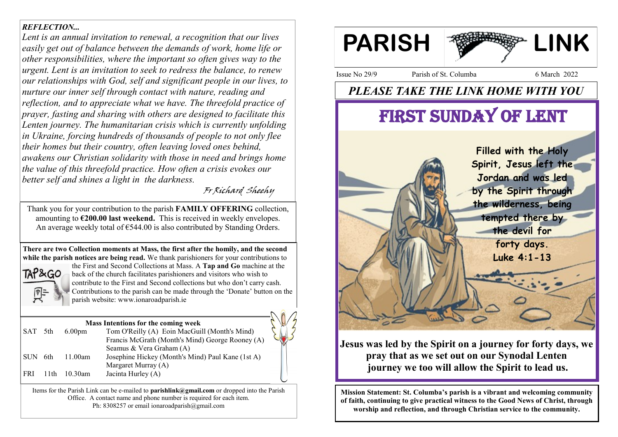## *REFLECTION...*

*Lent is an annual invitation to renewal, a recognition that our lives easily get out of balance between the demands of work, home life or other responsibilities, where the important so often gives way to the urgent. Lent is an invitation to seek to redress the balance, to renew our relationships with God, self and significant people in our lives, to nurture our inner self through contact with nature, reading and reflection, and to appreciate what we have. The threefold practice of prayer, fasting and sharing with others are designed to facilitate this Lenten journey. The humanitarian crisis which is currently unfolding in Ukraine, forcing hundreds of thousands of people to not only flee their homes but their country, often leaving loved ones behind, awakens our Christian solidarity with those in need and brings home the value of this threefold practice. How often a crisis evokes our better self and shines a light in the darkness.* 

Fr Richard Sheehy

Thank you for your contribution to the parish **FAMILY OFFERING** collection, amounting to **€200.00 last weekend.** This is received in weekly envelopes. An average weekly total of  $\epsilon$ 544.00 is also contributed by Standing Orders.

**There are two Collection moments at Mass, the first after the homily, and the second while the parish notices are being read.** We thank parishioners for your contributions to



the First and Second Collections at Mass. A **Tap and Go** machine at the back of the church facilitates parishioners and visitors who wish to contribute to the First and Second collections but who don't carry cash. Contributions to the parish can be made through the 'Donate' button on the parish website: www.ionaroadparish.ie

#### **Mass Intentions for the coming week**

| SAT 5th  |      | 6.00 <sub>pm</sub> | Tom O'Reilly (A) Eoin MacGuill (Month's Mind)     |  |
|----------|------|--------------------|---------------------------------------------------|--|
|          |      |                    | Francis McGrath (Month's Mind) George Rooney (A)  |  |
|          |      |                    | Seamus & Vera Graham (A)                          |  |
| ISUN 6th |      | 11.00am            | Josephine Hickey (Month's Mind) Paul Kane (1st A) |  |
|          |      |                    | Margaret Murray (A)                               |  |
| l FRI-   | 11th | 10.30am            | Jacinta Hurley (A)                                |  |

Items for the Parish Link can be e-mailed to **parishlink@gmail.com** or dropped into the Parish Office. A contact name and phone number is required for each item. Ph: 8308257 or email ionaroadparish@gmail.com



Issue No 29/9 Parish of St. Columba 6 March 2022

# *PLEASE TAKE THE LINK HOME WITH YOU*

# FIRST SUNDAY OF LENT



# **Jesus was led by the Spirit on a journey for forty days, we pray that as we set out on our Synodal Lenten journey we too will allow the Spirit to lead us.**

**Mission Statement: St. Columba's parish is a vibrant and welcoming community of faith, continuing to give practical witness to the Good News of Christ, through worship and reflection, and through Christian service to the community.**